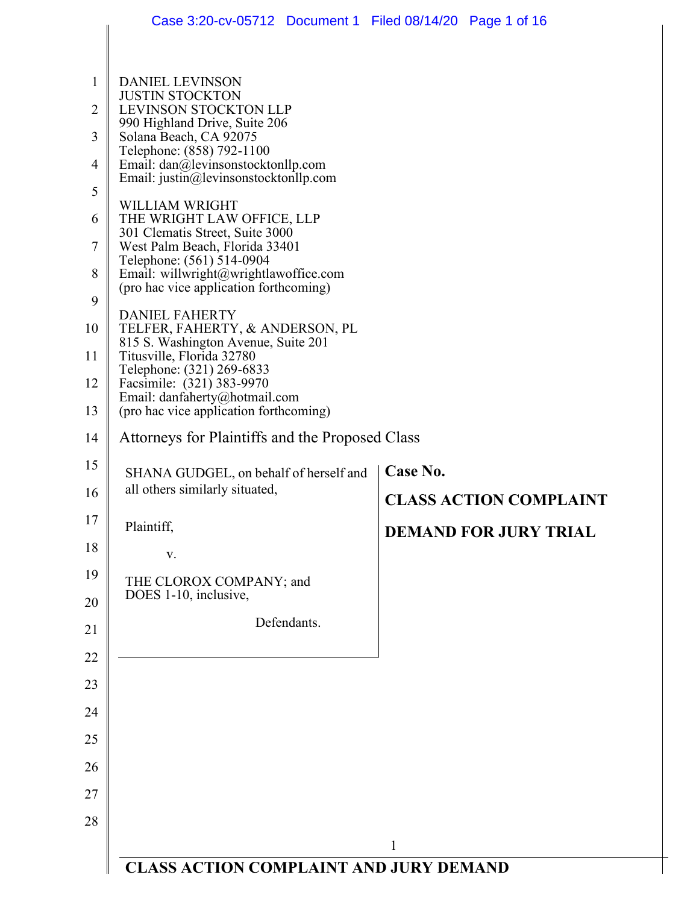|                     | Case 3:20-cv-05712 Document 1 Filed 08/14/20 Page 1 of 16                   |                               |  |
|---------------------|-----------------------------------------------------------------------------|-------------------------------|--|
|                     |                                                                             |                               |  |
| $\mathbf{1}$        | <b>DANIEL LEVINSON</b><br><b>JUSTIN STOCKTON</b>                            |                               |  |
| $\overline{2}$      | <b>LEVINSON STOCKTON LLP</b><br>990 Highland Drive, Suite 206               |                               |  |
| 3                   | Solana Beach, CA 92075<br>Telephone: (858) 792-1100                         |                               |  |
| $\overline{4}$<br>5 | Email: dan@levinsonstocktonllp.com<br>Email: justin@levinsonstocktonllp.com |                               |  |
| 6                   | WILLIAM WRIGHT<br>THE WRIGHT LAW OFFICE, LLP                                |                               |  |
| $\overline{7}$      | 301 Clematis Street, Suite 3000<br>West Palm Beach, Florida 33401           |                               |  |
| 8                   | Telephone: (561) 514-0904<br>Email: willwright@wrightlawoffice.com          |                               |  |
| 9                   | (pro hac vice application forthcoming)                                      |                               |  |
| 10                  | <b>DANIEL FAHERTY</b><br>TELFER, FAHERTY, & ANDERSON, PL                    |                               |  |
| 11                  | 815 S. Washington Avenue, Suite 201<br>Titusville, Florida 32780            |                               |  |
| 12                  | Telephone: (321) 269-6833<br>Facsimile: (321) 383-9970                      |                               |  |
| 13                  | Email: danfaherty@hotmail.com<br>(pro hac vice application forthcoming)     |                               |  |
| 14                  | Attorneys for Plaintiffs and the Proposed Class                             |                               |  |
| 15                  | SHANA GUDGEL, on behalf of herself and                                      | Case No.                      |  |
| 16                  | all others similarly situated,                                              | <b>CLASS ACTION COMPLAINT</b> |  |
| 17                  | Plaintiff,                                                                  | <b>DEMAND FOR JURY TRIAL</b>  |  |
| 18                  | V.                                                                          |                               |  |
| 19                  | THE CLOROX COMPANY; and<br>DOES 1-10, inclusive,                            |                               |  |
| 20                  | Defendants.                                                                 |                               |  |
| 21                  |                                                                             |                               |  |
| 22                  |                                                                             |                               |  |
| 23<br>24            |                                                                             |                               |  |
| 25                  |                                                                             |                               |  |
| 26                  |                                                                             |                               |  |
| 27                  |                                                                             |                               |  |
| 28                  |                                                                             |                               |  |
|                     |                                                                             | 1                             |  |
|                     | <b>CLASS ACTION COMPLAINT AND JURY DEMAND</b>                               |                               |  |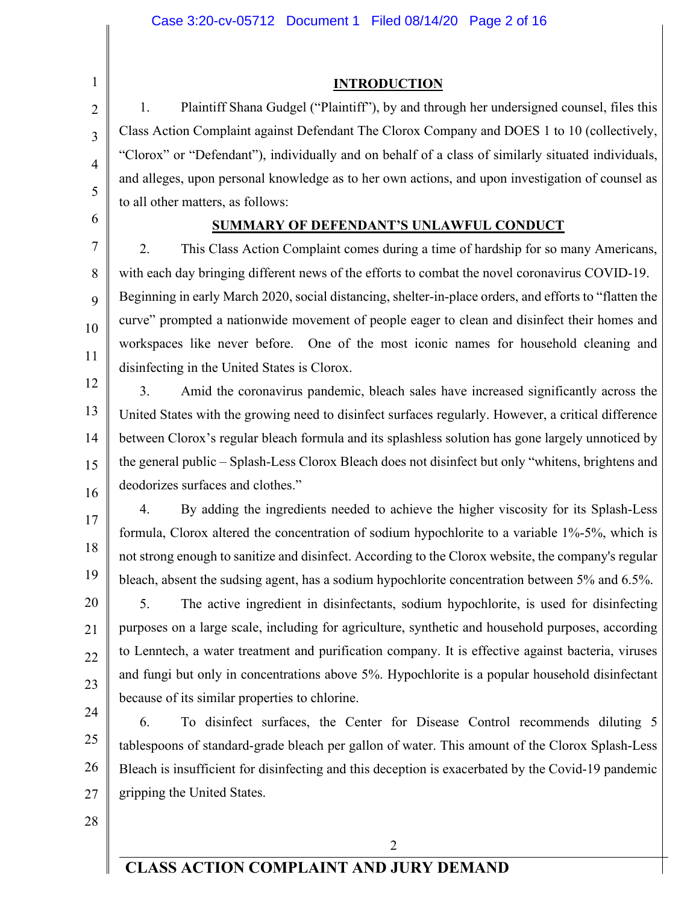**INTRODUCTION**

1. Plaintiff Shana Gudgel ("Plaintiff"), by and through her undersigned counsel, files this Class Action Complaint against Defendant The Clorox Company and DOES 1 to 10 (collectively, "Clorox" or "Defendant"), individually and on behalf of a class of similarly situated individuals, and alleges, upon personal knowledge as to her own actions, and upon investigation of counsel as to all other matters, as follows:

### **SUMMARY OF DEFENDANT'S UNLAWFUL CONDUCT**

2. This Class Action Complaint comes during a time of hardship for so many Americans, with each day bringing different news of the efforts to combat the novel coronavirus COVID-19. Beginning in early March 2020, social distancing, shelter-in-place orders, and efforts to "flatten the curve" prompted a nationwide movement of people eager to clean and disinfect their homes and workspaces like never before. One of the most iconic names for household cleaning and disinfecting in the United States is Clorox.

12 13 14 15 16 3. Amid the coronavirus pandemic, bleach sales have increased significantly across the United States with the growing need to disinfect surfaces regularly. However, a critical difference between Clorox's regular bleach formula and its splashless solution has gone largely unnoticed by the general public – Splash-Less Clorox Bleach does not disinfect but only "whitens, brightens and deodorizes surfaces and clothes."

4. By adding the ingredients needed to achieve the higher viscosity for its Splash-Less formula, Clorox altered the concentration of sodium hypochlorite to a variable 1%-5%, which is not strong enough to sanitize and disinfect. According to the Clorox website, the company's regular bleach, absent the sudsing agent, has a sodium hypochlorite concentration between 5% and 6.5%.

5. The active ingredient in disinfectants, sodium hypochlorite, is used for disinfecting purposes on a large scale, including for agriculture, synthetic and household purposes, according to Lenntech, a water treatment and purification company. It is effective against bacteria, viruses and fungi but only in concentrations above 5%. Hypochlorite is a popular household disinfectant because of its similar properties to chlorine.

24 25 26 27 6. To disinfect surfaces, the Center for Disease Control recommends diluting 5 tablespoons of standard-grade bleach per gallon of water. This amount of the Clorox Splash-Less Bleach is insufficient for disinfecting and this deception is exacerbated by the Covid-19 pandemic gripping the United States.

28

1

2

3

4

5

6

7

8

9

10

11

17

18

19

20

21

22

23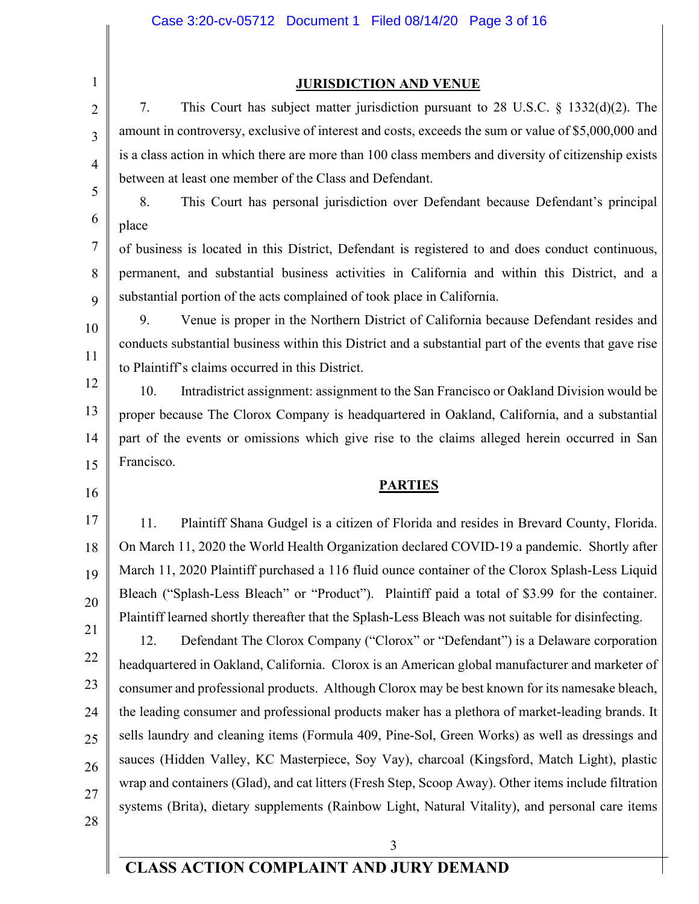2 3

4

5

6

7

8

9

10

11

12

13

14

15

1

#### **JURISDICTION AND VENUE**

7. This Court has subject matter jurisdiction pursuant to 28 U.S.C. § 1332(d)(2). The amount in controversy, exclusive of interest and costs, exceeds the sum or value of \$5,000,000 and is a class action in which there are more than 100 class members and diversity of citizenship exists between at least one member of the Class and Defendant.

8. This Court has personal jurisdiction over Defendant because Defendant's principal place

of business is located in this District, Defendant is registered to and does conduct continuous, permanent, and substantial business activities in California and within this District, and a substantial portion of the acts complained of took place in California.

9. Venue is proper in the Northern District of California because Defendant resides and conducts substantial business within this District and a substantial part of the events that gave rise to Plaintiff's claims occurred in this District.

10. Intradistrict assignment: assignment to the San Francisco or Oakland Division would be proper because The Clorox Company is headquartered in Oakland, California, and a substantial part of the events or omissions which give rise to the claims alleged herein occurred in San Francisco.

16

**PARTIES**

17 18 19 20 11. Plaintiff Shana Gudgel is a citizen of Florida and resides in Brevard County, Florida. On March 11, 2020 the World Health Organization declared COVID-19 a pandemic. Shortly after March 11, 2020 Plaintiff purchased a 116 fluid ounce container of the Clorox Splash-Less Liquid Bleach ("Splash-Less Bleach" or "Product"). Plaintiff paid a total of \$3.99 for the container. Plaintiff learned shortly thereafter that the Splash-Less Bleach was not suitable for disinfecting.

21 22 23 24 25 26 27 12. Defendant The Clorox Company ("Clorox" or "Defendant") is a Delaware corporation headquartered in Oakland, California. Clorox is an American global manufacturer and marketer of consumer and professional products. Although Clorox may be best known for its namesake bleach, the leading consumer and professional products maker has a plethora of market-leading brands. It sells laundry and cleaning items (Formula 409, Pine-Sol, Green Works) as well as dressings and sauces (Hidden Valley, KC Masterpiece, Soy Vay), charcoal (Kingsford, Match Light), plastic wrap and containers (Glad), and cat litters (Fresh Step, Scoop Away). Other items include filtration systems (Brita), dietary supplements (Rainbow Light, Natural Vitality), and personal care items

28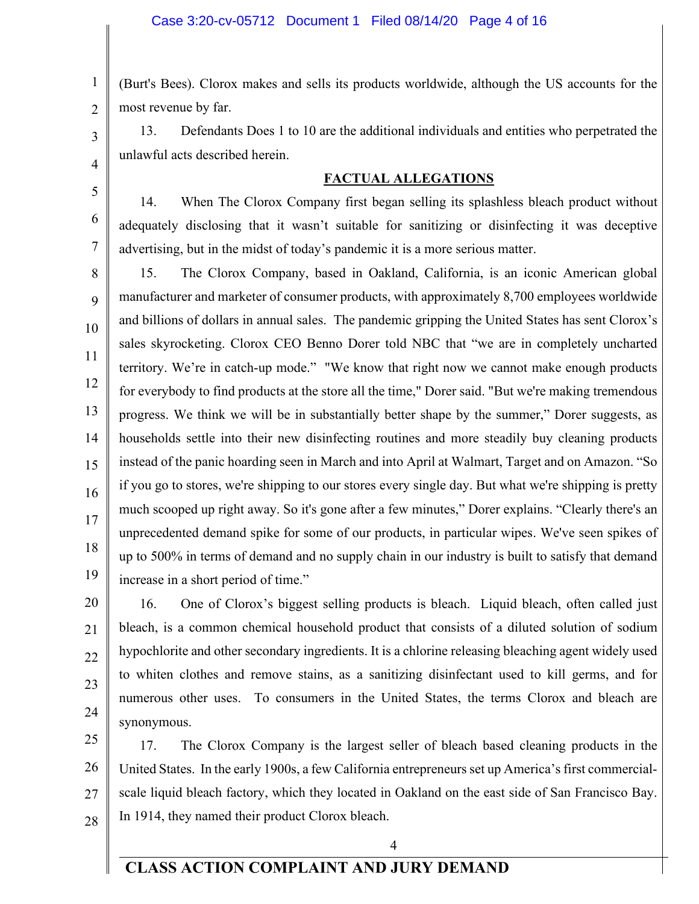3

4

5

6

7

1 2 (Burt's Bees). Clorox makes and sells its products worldwide, although the US accounts for the most revenue by far.

13. Defendants Does 1 to 10 are the additional individuals and entities who perpetrated the unlawful acts described herein.

#### **FACTUAL ALLEGATIONS**

14. When The Clorox Company first began selling its splashless bleach product without adequately disclosing that it wasn't suitable for sanitizing or disinfecting it was deceptive advertising, but in the midst of today's pandemic it is a more serious matter.

8 9 10 11 12 13 14 15 16 17 18 19 15. The Clorox Company, based in Oakland, California, is an iconic American global manufacturer and marketer of consumer products, with approximately 8,700 employees worldwide and billions of dollars in annual sales. The pandemic gripping the United States has sent Clorox's sales skyrocketing. Clorox CEO Benno Dorer told NBC that "we are in completely uncharted territory. We're in catch-up mode." "We know that right now we cannot make enough products for everybody to find products at the store all the time," Dorer said. "But we're making tremendous progress. We think we will be in substantially better shape by the summer," Dorer suggests, as households settle into their new disinfecting routines and more steadily buy cleaning products instead of the panic hoarding seen in March and into April at Walmart, Target and on Amazon. "So if you go to stores, we're shipping to our stores every single day. But what we're shipping is pretty much scooped up right away. So it's gone after a few minutes," Dorer explains. "Clearly there's an unprecedented demand spike for some of our products, in particular wipes. We've seen spikes of up to 500% in terms of demand and no supply chain in our industry is built to satisfy that demand increase in a short period of time."

20 21 22 23 24 16. One of Clorox's biggest selling products is bleach. Liquid bleach, often called just bleach, is a common chemical household product that consists of a diluted solution of sodium hypochlorite and other secondary ingredients. It is a chlorine releasing bleaching agent widely used to whiten clothes and remove stains, as a sanitizing disinfectant used to kill germs, and for numerous other uses. To consumers in the United States, the terms Clorox and bleach are synonymous.

25 26 27 28 17. The Clorox Company is the largest seller of bleach based cleaning products in the United States. In the early 1900s, a few California entrepreneurs set up America's first commercialscale liquid bleach factory, which they located in Oakland on the east side of San Francisco Bay. In 1914, they named their product Clorox bleach.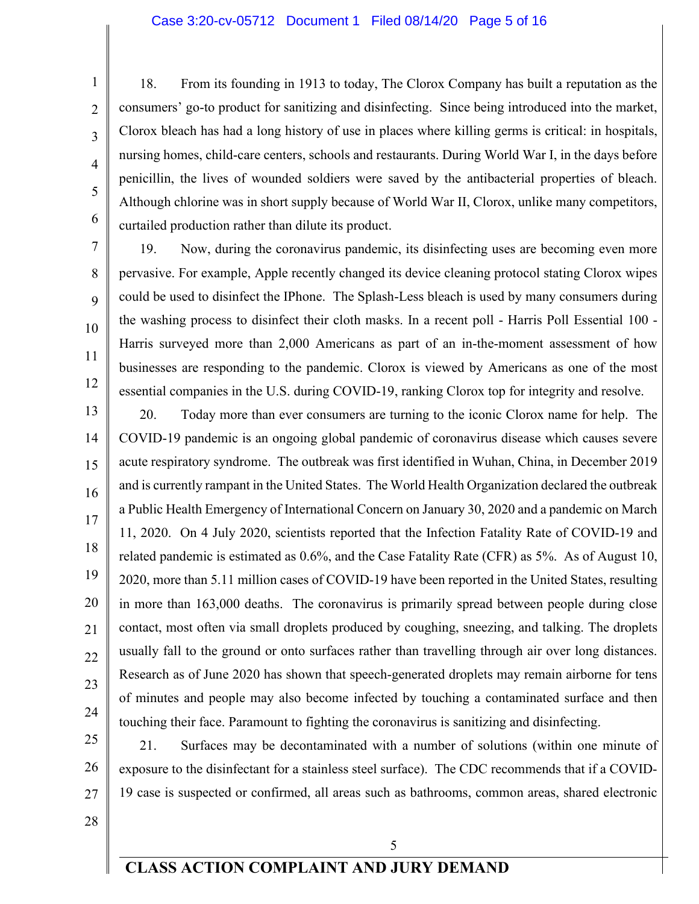#### Case 3:20-cv-05712 Document 1 Filed 08/14/20 Page 5 of 16

18. From its founding in 1913 to today, The Clorox Company has built a reputation as the consumers' go-to product for sanitizing and disinfecting. Since being introduced into the market, Clorox bleach has had a long history of use in places where killing germs is critical: in hospitals, nursing homes, child-care centers, schools and restaurants. During World War I, in the days before penicillin, the lives of wounded soldiers were saved by the antibacterial properties of bleach. Although chlorine was in short supply because of World War II, Clorox, unlike many competitors, curtailed production rather than dilute its product.

19. Now, during the coronavirus pandemic, its disinfecting uses are becoming even more pervasive. For example, Apple recently changed its device cleaning protocol stating Clorox wipes could be used to disinfect the IPhone. The Splash-Less bleach is used by many consumers during the washing process to disinfect their cloth masks. In a recent poll - Harris Poll Essential 100 - Harris surveyed more than 2,000 Americans as part of an in-the-moment assessment of how businesses are responding to the pandemic. Clorox is viewed by Americans as one of the most essential companies in the U.S. during COVID-19, ranking Clorox top for integrity and resolve.

13 14 15 16 17 18 19 20 21 22 23 24 20. Today more than ever consumers are turning to the iconic Clorox name for help. The COVID-19 pandemic is an ongoing global pandemic of coronavirus disease which causes severe acute respiratory syndrome. The outbreak was first identified in Wuhan, China, in December 2019 and is currently rampant in the United States. The World Health Organization declared the outbreak a Public Health Emergency of International Concern on January 30, 2020 and a pandemic on March 11, 2020. On 4 July 2020, scientists reported that the Infection Fatality Rate of COVID-19 and related pandemic is estimated as 0.6%, and the Case Fatality Rate (CFR) as 5%. As of August 10, 2020, more than 5.11 million cases of COVID-19 have been reported in the United States, resulting in more than 163,000 deaths. The coronavirus is primarily spread between people during close contact, most often via small droplets produced by coughing, sneezing, and talking. The droplets usually fall to the ground or onto surfaces rather than travelling through air over long distances. Research as of June 2020 has shown that speech-generated droplets may remain airborne for tens of minutes and people may also become infected by touching a contaminated surface and then touching their face. Paramount to fighting the coronavirus is sanitizing and disinfecting.

25 26 27 21. Surfaces may be decontaminated with a number of solutions (within one minute of exposure to the disinfectant for a stainless steel surface). The CDC recommends that if a COVID-19 case is suspected or confirmed, all areas such as bathrooms, common areas, shared electronic

28

1

2

3

4

5

6

7

8

9

10

11

12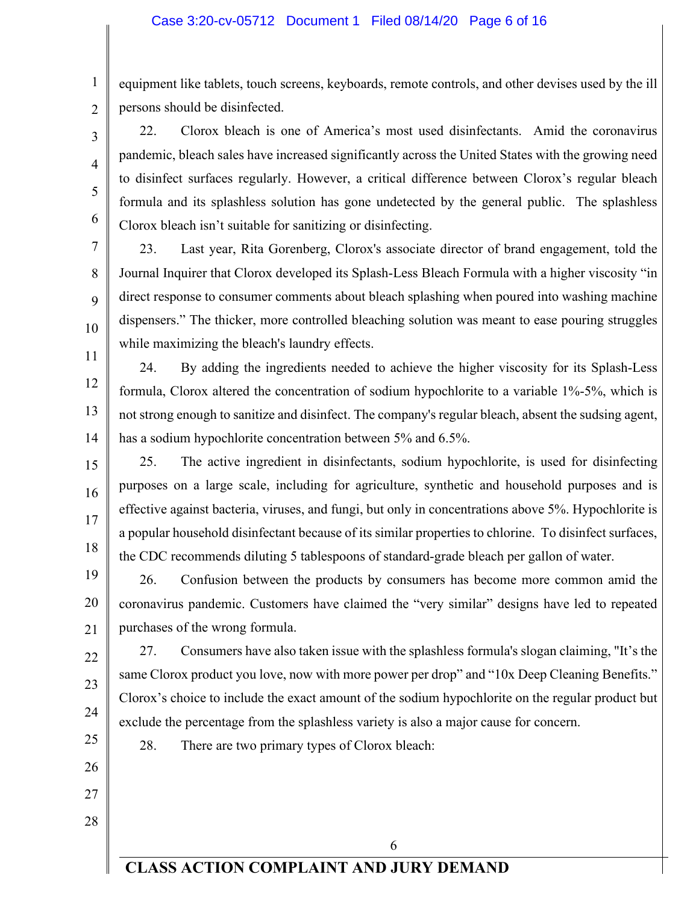1 2 equipment like tablets, touch screens, keyboards, remote controls, and other devises used by the ill persons should be disinfected.

22. Clorox bleach is one of America's most used disinfectants. Amid the coronavirus pandemic, bleach sales have increased significantly across the United States with the growing need to disinfect surfaces regularly. However, a critical difference between Clorox's regular bleach formula and its splashless solution has gone undetected by the general public. The splashless Clorox bleach isn't suitable for sanitizing or disinfecting.

23. Last year, Rita Gorenberg, Clorox's associate director of brand engagement, told the Journal Inquirer that Clorox developed its Splash-Less Bleach Formula with a higher viscosity "in direct response to consumer comments about bleach splashing when poured into washing machine dispensers." The thicker, more controlled bleaching solution was meant to ease pouring struggles while maximizing the bleach's laundry effects.

11 12 13 14 24. By adding the ingredients needed to achieve the higher viscosity for its Splash-Less formula, Clorox altered the concentration of sodium hypochlorite to a variable 1%-5%, which is not strong enough to sanitize and disinfect. The company's regular bleach, absent the sudsing agent, has a sodium hypochlorite concentration between 5% and 6.5%.

15 16 17 18 25. The active ingredient in disinfectants, sodium hypochlorite, is used for disinfecting purposes on a large scale, including for agriculture, synthetic and household purposes and is effective against bacteria, viruses, and fungi, but only in concentrations above 5%. Hypochlorite is a popular household disinfectant because of its similar properties to chlorine. To disinfect surfaces, the CDC recommends diluting 5 tablespoons of standard-grade bleach per gallon of water.

19 20 21 26. Confusion between the products by consumers has become more common amid the coronavirus pandemic. Customers have claimed the "very similar" designs have led to repeated purchases of the wrong formula.

22 24 27. Consumers have also taken issue with the splashless formula's slogan claiming, "It's the same Clorox product you love, now with more power per drop" and "10x Deep Cleaning Benefits." Clorox's choice to include the exact amount of the sodium hypochlorite on the regular product but exclude the percentage from the splashless variety is also a major cause for concern.

25 26

23

3

4

5

6

7

8

9

10

28. There are two primary types of Clorox bleach:

27 28

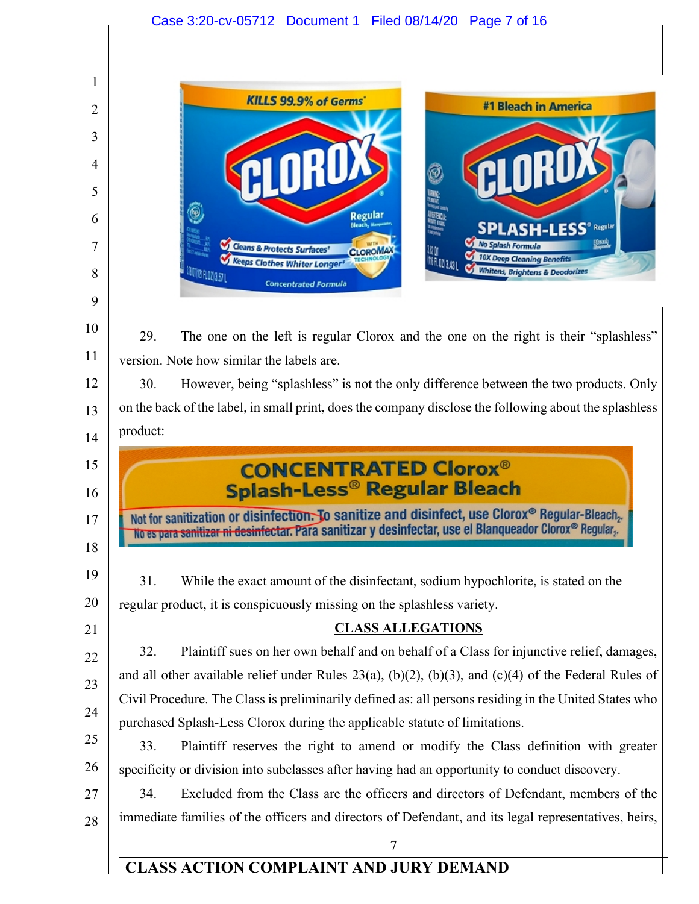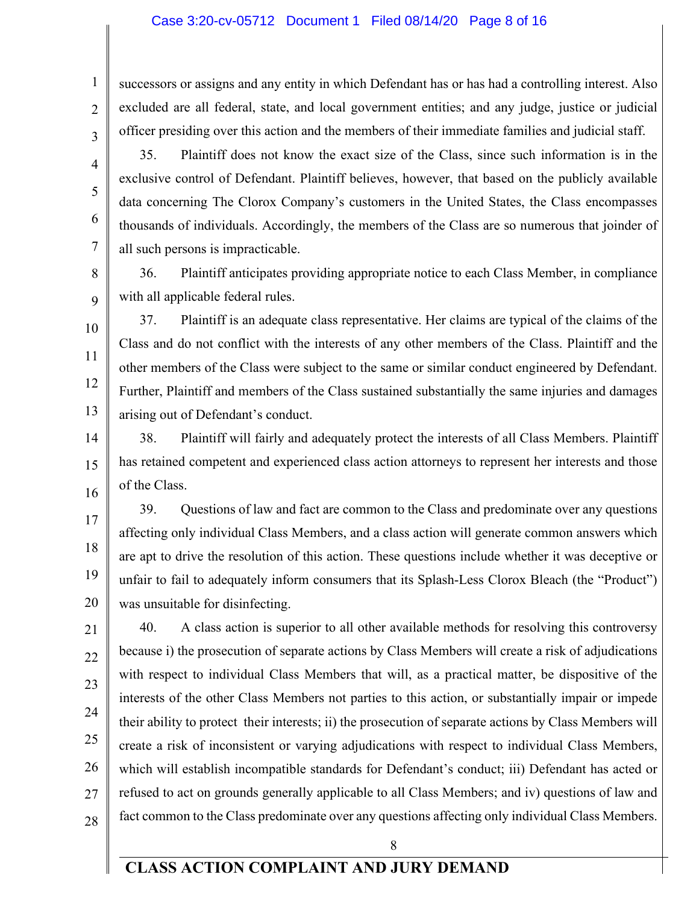#### Case 3:20-cv-05712 Document 1 Filed 08/14/20 Page 8 of 16

successors or assigns and any entity in which Defendant has or has had a controlling interest. Also excluded are all federal, state, and local government entities; and any judge, justice or judicial officer presiding over this action and the members of their immediate families and judicial staff.

35. Plaintiff does not know the exact size of the Class, since such information is in the exclusive control of Defendant. Plaintiff believes, however, that based on the publicly available data concerning The Clorox Company's customers in the United States, the Class encompasses thousands of individuals. Accordingly, the members of the Class are so numerous that joinder of

all such persons is impracticable.

36. Plaintiff anticipates providing appropriate notice to each Class Member, in compliance with all applicable federal rules.

12 13 37. Plaintiff is an adequate class representative. Her claims are typical of the claims of the Class and do not conflict with the interests of any other members of the Class. Plaintiff and the other members of the Class were subject to the same or similar conduct engineered by Defendant. Further, Plaintiff and members of the Class sustained substantially the same injuries and damages arising out of Defendant's conduct.

15 16 38. Plaintiff will fairly and adequately protect the interests of all Class Members. Plaintiff has retained competent and experienced class action attorneys to represent her interests and those of the Class.

17 18 19 20 39. Questions of law and fact are common to the Class and predominate over any questions affecting only individual Class Members, and a class action will generate common answers which are apt to drive the resolution of this action. These questions include whether it was deceptive or unfair to fail to adequately inform consumers that its Splash-Less Clorox Bleach (the "Product") was unsuitable for disinfecting.

21 22 23 24 25 26 28 40. A class action is superior to all other available methods for resolving this controversy because i) the prosecution of separate actions by Class Members will create a risk of adjudications with respect to individual Class Members that will, as a practical matter, be dispositive of the interests of the other Class Members not parties to this action, or substantially impair or impede their ability to protect their interests; ii) the prosecution of separate actions by Class Members will create a risk of inconsistent or varying adjudications with respect to individual Class Members, which will establish incompatible standards for Defendant's conduct; iii) Defendant has acted or refused to act on grounds generally applicable to all Class Members; and iv) questions of law and fact common to the Class predominate over any questions affecting only individual Class Members.

1

2

3

4

5

6

7

8

9

14

8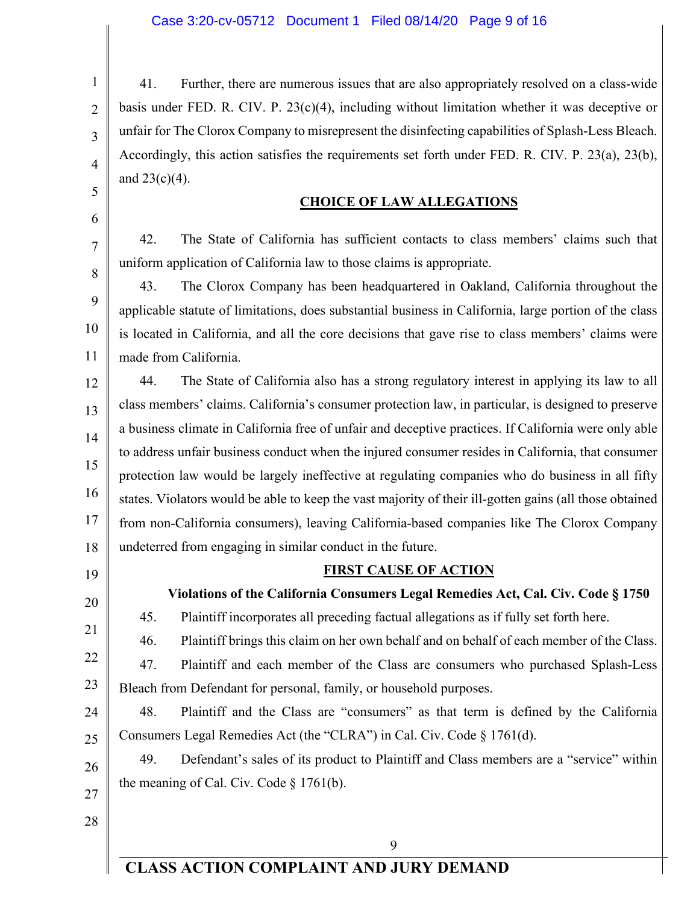41. Further, there are numerous issues that are also appropriately resolved on a class-wide basis under FED. R. CIV. P. 23(c)(4), including without limitation whether it was deceptive or unfair for The Clorox Company to misrepresent the disinfecting capabilities of Splash-Less Bleach. Accordingly, this action satisfies the requirements set forth under FED. R. CIV. P. 23(a), 23(b), and  $23(c)(4)$ .

#### **CHOICE OF LAW ALLEGATIONS**

42. The State of California has sufficient contacts to class members' claims such that uniform application of California law to those claims is appropriate.

43. The Clorox Company has been headquartered in Oakland, California throughout the applicable statute of limitations, does substantial business in California, large portion of the class is located in California, and all the core decisions that gave rise to class members' claims were made from California.

12 13 14 15 16 17 18 44. The State of California also has a strong regulatory interest in applying its law to all class members' claims. California's consumer protection law, in particular, is designed to preserve a business climate in California free of unfair and deceptive practices. If California were only able to address unfair business conduct when the injured consumer resides in California, that consumer protection law would be largely ineffective at regulating companies who do business in all fifty states. Violators would be able to keep the vast majority of their ill-gotten gains (all those obtained from non-California consumers), leaving California-based companies like The Clorox Company undeterred from engaging in similar conduct in the future.

19

20

21

22

1

2

3

4

5

6

7

8

9

10

11

#### **FIRST CAUSE OF ACTION**

**Violations of the California Consumers Legal Remedies Act, Cal. Civ. Code § 1750**

45. Plaintiff incorporates all preceding factual allegations as if fully set forth here.

46. Plaintiff brings this claim on her own behalf and on behalf of each member of the Class. 47. Plaintiff and each member of the Class are consumers who purchased Splash-Less

23 Bleach from Defendant for personal, family, or household purposes.

24 25 48. Plaintiff and the Class are "consumers" as that term is defined by the California Consumers Legal Remedies Act (the "CLRA") in Cal. Civ. Code § 1761(d).

26 27 49. Defendant's sales of its product to Plaintiff and Class members are a "service" within the meaning of Cal. Civ. Code § 1761(b).

28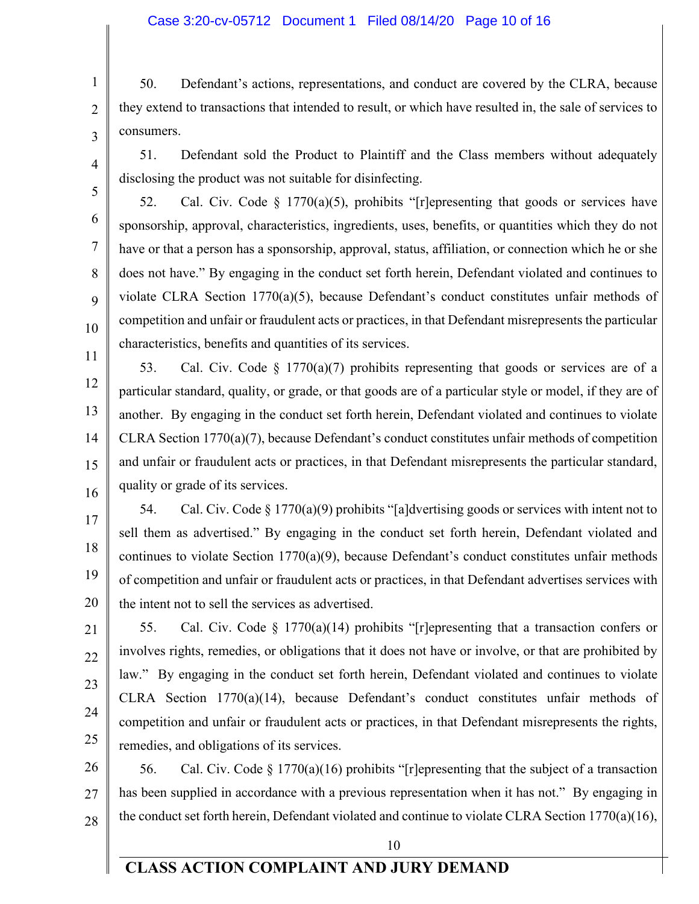#### Case 3:20-cv-05712 Document 1 Filed 08/14/20 Page 10 of 16

50. Defendant's actions, representations, and conduct are covered by the CLRA, because they extend to transactions that intended to result, or which have resulted in, the sale of services to consumers.

4

1

2

3

5

6

7

8

9

10

51. Defendant sold the Product to Plaintiff and the Class members without adequately disclosing the product was not suitable for disinfecting.

52. Cal. Civ. Code  $\S$  1770(a)(5), prohibits "[r]epresenting that goods or services have sponsorship, approval, characteristics, ingredients, uses, benefits, or quantities which they do not have or that a person has a sponsorship, approval, status, affiliation, or connection which he or she does not have." By engaging in the conduct set forth herein, Defendant violated and continues to violate CLRA Section 1770(a)(5), because Defendant's conduct constitutes unfair methods of competition and unfair or fraudulent acts or practices, in that Defendant misrepresents the particular characteristics, benefits and quantities of its services.

11 12 13 14 15 53. Cal. Civ. Code § 1770(a)(7) prohibits representing that goods or services are of a particular standard, quality, or grade, or that goods are of a particular style or model, if they are of another. By engaging in the conduct set forth herein, Defendant violated and continues to violate CLRA Section 1770(a)(7), because Defendant's conduct constitutes unfair methods of competition and unfair or fraudulent acts or practices, in that Defendant misrepresents the particular standard, quality or grade of its services.

16

17 18 19 20 54. Cal. Civ. Code  $\S 1770(a)(9)$  prohibits "[a]dvertising goods or services with intent not to sell them as advertised." By engaging in the conduct set forth herein, Defendant violated and continues to violate Section  $1770(a)(9)$ , because Defendant's conduct constitutes unfair methods of competition and unfair or fraudulent acts or practices, in that Defendant advertises services with the intent not to sell the services as advertised.

21 22 23 24 25 55. Cal. Civ. Code § 1770(a)(14) prohibits "[r]epresenting that a transaction confers or involves rights, remedies, or obligations that it does not have or involve, or that are prohibited by law." By engaging in the conduct set forth herein, Defendant violated and continues to violate CLRA Section 1770(a)(14), because Defendant's conduct constitutes unfair methods of competition and unfair or fraudulent acts or practices, in that Defendant misrepresents the rights, remedies, and obligations of its services.

26 27 28 56. Cal. Civ. Code  $\S 1770(a)(16)$  prohibits "[r]epresenting that the subject of a transaction has been supplied in accordance with a previous representation when it has not." By engaging in the conduct set forth herein, Defendant violated and continue to violate CLRA Section 1770(a)(16),

10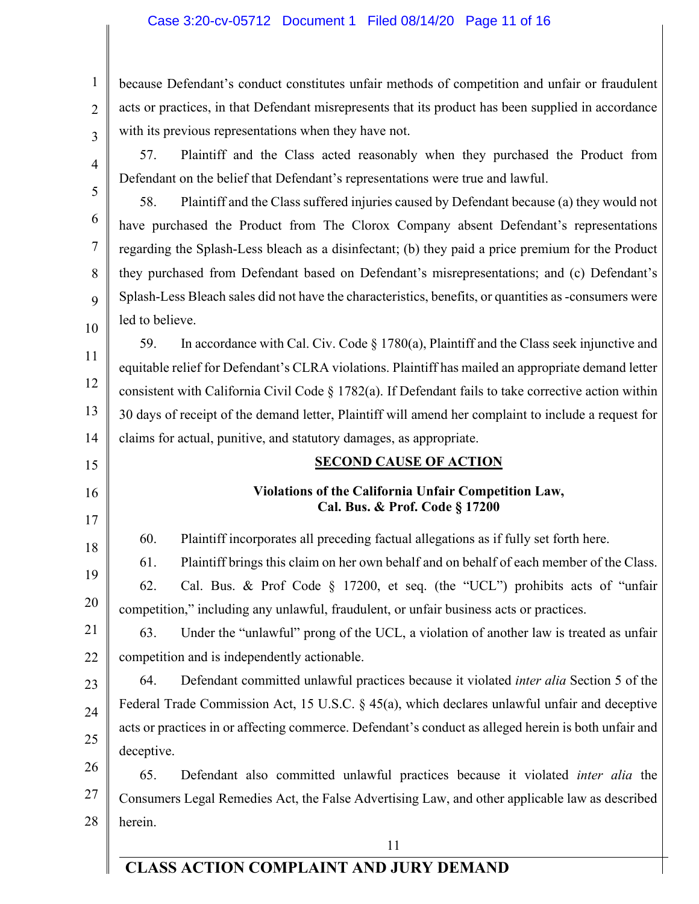#### Case 3:20-cv-05712 Document 1 Filed 08/14/20 Page 11 of 16

1 2 3 because Defendant's conduct constitutes unfair methods of competition and unfair or fraudulent acts or practices, in that Defendant misrepresents that its product has been supplied in accordance with its previous representations when they have not.

4 5

6

7

8

9

10

15

16

17

18

19

20

57. Plaintiff and the Class acted reasonably when they purchased the Product from Defendant on the belief that Defendant's representations were true and lawful.

58. Plaintiff and the Class suffered injuries caused by Defendant because (a) they would not have purchased the Product from The Clorox Company absent Defendant's representations regarding the Splash-Less bleach as a disinfectant; (b) they paid a price premium for the Product they purchased from Defendant based on Defendant's misrepresentations; and (c) Defendant's Splash-Less Bleach sales did not have the characteristics, benefits, or quantities as -consumers were led to believe.

11 12 13 14 59. In accordance with Cal. Civ. Code  $\S 1780(a)$ , Plaintiff and the Class seek injunctive and equitable relief for Defendant's CLRA violations. Plaintiff has mailed an appropriate demand letter consistent with California Civil Code  $\S 1782(a)$ . If Defendant fails to take corrective action within 30 days of receipt of the demand letter, Plaintiff will amend her complaint to include a request for claims for actual, punitive, and statutory damages, as appropriate.

# **SECOND CAUSE OF ACTION Violations of the California Unfair Competition Law, Cal. Bus. & Prof. Code § 17200**

60. Plaintiff incorporates all preceding factual allegations as if fully set forth here.

61. Plaintiff brings this claim on her own behalf and on behalf of each member of the Class.

62. Cal. Bus. & Prof Code § 17200, et seq. (the "UCL") prohibits acts of "unfair competition," including any unlawful, fraudulent, or unfair business acts or practices.

21 22 63. Under the "unlawful" prong of the UCL, a violation of another law is treated as unfair competition and is independently actionable.

23 24 25 64. Defendant committed unlawful practices because it violated *inter alia* Section 5 of the Federal Trade Commission Act, 15 U.S.C. § 45(a), which declares unlawful unfair and deceptive acts or practices in or affecting commerce. Defendant's conduct as alleged herein is both unfair and deceptive.

26 27 28 65. Defendant also committed unlawful practices because it violated *inter alia* the Consumers Legal Remedies Act, the False Advertising Law, and other applicable law as described herein.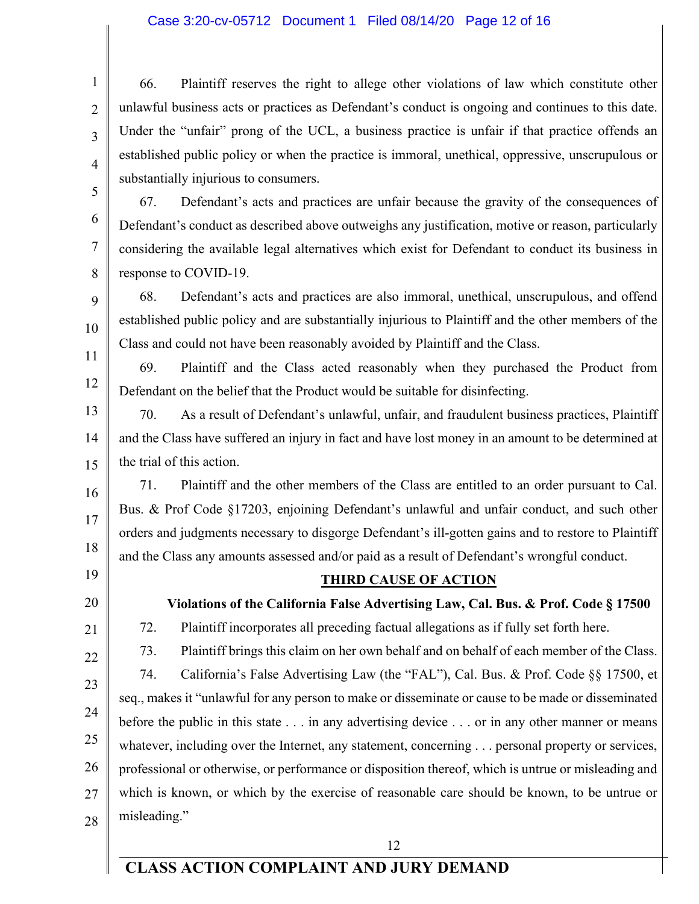#### Case 3:20-cv-05712 Document 1 Filed 08/14/20 Page 12 of 16

66. Plaintiff reserves the right to allege other violations of law which constitute other unlawful business acts or practices as Defendant's conduct is ongoing and continues to this date. Under the "unfair" prong of the UCL, a business practice is unfair if that practice offends an established public policy or when the practice is immoral, unethical, oppressive, unscrupulous or substantially injurious to consumers.

67. Defendant's acts and practices are unfair because the gravity of the consequences of Defendant's conduct as described above outweighs any justification, motive or reason, particularly considering the available legal alternatives which exist for Defendant to conduct its business in response to COVID-19.

68. Defendant's acts and practices are also immoral, unethical, unscrupulous, and offend established public policy and are substantially injurious to Plaintiff and the other members of the Class and could not have been reasonably avoided by Plaintiff and the Class.

11 12 69. Plaintiff and the Class acted reasonably when they purchased the Product from Defendant on the belief that the Product would be suitable for disinfecting.

13 14 15 70. As a result of Defendant's unlawful, unfair, and fraudulent business practices, Plaintiff and the Class have suffered an injury in fact and have lost money in an amount to be determined at the trial of this action.

71. Plaintiff and the other members of the Class are entitled to an order pursuant to Cal. Bus. & Prof Code §17203, enjoining Defendant's unlawful and unfair conduct, and such other orders and judgments necessary to disgorge Defendant's ill-gotten gains and to restore to Plaintiff and the Class any amounts assessed and/or paid as a result of Defendant's wrongful conduct.

19

18

16

17

1

2

3

4

5

6

7

8

9

10

20

21

22

23

24

25

26

27

28

#### **THIRD CAUSE OF ACTION**

**Violations of the California False Advertising Law, Cal. Bus. & Prof. Code § 17500**

72. Plaintiff incorporates all preceding factual allegations as if fully set forth here.

73. Plaintiff brings this claim on her own behalf and on behalf of each member of the Class.

74. California's False Advertising Law (the "FAL"), Cal. Bus. & Prof. Code §§ 17500, et seq., makes it "unlawful for any person to make or disseminate or cause to be made or disseminated before the public in this state . . . in any advertising device . . . or in any other manner or means whatever, including over the Internet, any statement, concerning . . . personal property or services, professional or otherwise, or performance or disposition thereof, which is untrue or misleading and which is known, or which by the exercise of reasonable care should be known, to be untrue or misleading."

12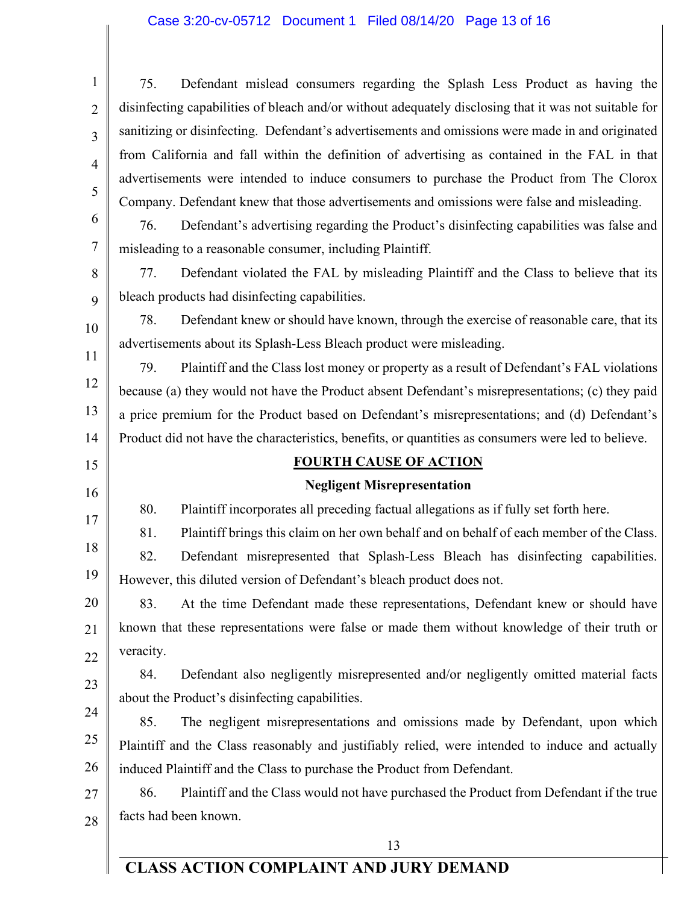### Case 3:20-cv-05712 Document 1 Filed 08/14/20 Page 13 of 16

| 1              | 75.<br>Defendant mislead consumers regarding the Splash Less Product as having the                    |  |  |
|----------------|-------------------------------------------------------------------------------------------------------|--|--|
| $\overline{2}$ | disinfecting capabilities of bleach and/or without adequately disclosing that it was not suitable for |  |  |
| 3              | sanitizing or disinfecting. Defendant's advertisements and omissions were made in and originated      |  |  |
| $\overline{4}$ | from California and fall within the definition of advertising as contained in the FAL in that         |  |  |
| 5              | advertisements were intended to induce consumers to purchase the Product from The Clorox              |  |  |
|                | Company. Defendant knew that those advertisements and omissions were false and misleading.            |  |  |
| 6              | 76.<br>Defendant's advertising regarding the Product's disinfecting capabilities was false and        |  |  |
| 7              | misleading to a reasonable consumer, including Plaintiff.                                             |  |  |
| 8              | Defendant violated the FAL by misleading Plaintiff and the Class to believe that its<br>77.           |  |  |
| 9              | bleach products had disinfecting capabilities.                                                        |  |  |
| 10             | Defendant knew or should have known, through the exercise of reasonable care, that its<br>78.         |  |  |
| 11             | advertisements about its Splash-Less Bleach product were misleading.                                  |  |  |
| 12             | 79.<br>Plaintiff and the Class lost money or property as a result of Defendant's FAL violations       |  |  |
|                | because (a) they would not have the Product absent Defendant's misrepresentations; (c) they paid      |  |  |
| 13             | a price premium for the Product based on Defendant's misrepresentations; and (d) Defendant's          |  |  |
| 14             | Product did not have the characteristics, benefits, or quantities as consumers were led to believe.   |  |  |
| 15             | <b>FOURTH CAUSE OF ACTION</b>                                                                         |  |  |
| 16             | <b>Negligent Misrepresentation</b>                                                                    |  |  |
| 17             | 80.<br>Plaintiff incorporates all preceding factual allegations as if fully set forth here.           |  |  |
| 18             | 81.<br>Plaintiff brings this claim on her own behalf and on behalf of each member of the Class.       |  |  |
|                | 82.<br>Defendant misrepresented that Splash-Less Bleach has disinfecting capabilities.                |  |  |
| 19             | However, this diluted version of Defendant's bleach product does not.                                 |  |  |
| 20             | At the time Defendant made these representations, Defendant knew or should have<br>83.                |  |  |
| 21             | known that these representations were false or made them without knowledge of their truth or          |  |  |
| 22             | veracity.                                                                                             |  |  |
| 23             | Defendant also negligently misrepresented and/or negligently omitted material facts<br>84.            |  |  |
| 24             | about the Product's disinfecting capabilities.                                                        |  |  |
| 25             | 85.<br>The negligent misrepresentations and omissions made by Defendant, upon which                   |  |  |
|                | Plaintiff and the Class reasonably and justifiably relied, were intended to induce and actually       |  |  |
| 26             | induced Plaintiff and the Class to purchase the Product from Defendant.                               |  |  |
| 27             | Plaintiff and the Class would not have purchased the Product from Defendant if the true<br>86.        |  |  |
| 28             | facts had been known.                                                                                 |  |  |
|                | 13                                                                                                    |  |  |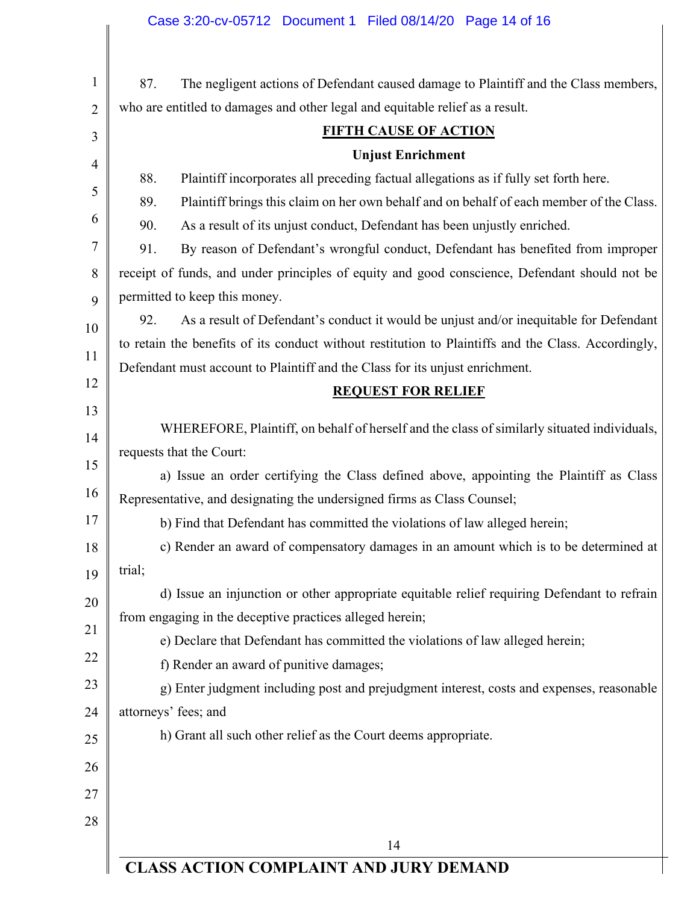|                | Case 3:20-cv-05712 Document 1 Filed 08/14/20 Page 14 of 16                                                |  |  |  |  |
|----------------|-----------------------------------------------------------------------------------------------------------|--|--|--|--|
| $\mathbf{1}$   | 87.<br>The negligent actions of Defendant caused damage to Plaintiff and the Class members,               |  |  |  |  |
| $\overline{2}$ | who are entitled to damages and other legal and equitable relief as a result.                             |  |  |  |  |
| 3              | <b>FIFTH CAUSE OF ACTION</b>                                                                              |  |  |  |  |
| $\overline{4}$ | <b>Unjust Enrichment</b>                                                                                  |  |  |  |  |
| 5              | 88.<br>Plaintiff incorporates all preceding factual allegations as if fully set forth here.               |  |  |  |  |
| 6              | Plaintiff brings this claim on her own behalf and on behalf of each member of the Class.<br>89.           |  |  |  |  |
|                | 90.<br>As a result of its unjust conduct, Defendant has been unjustly enriched.                           |  |  |  |  |
| 7              | 91.<br>By reason of Defendant's wrongful conduct, Defendant has benefited from improper                   |  |  |  |  |
| 8              | receipt of funds, and under principles of equity and good conscience, Defendant should not be             |  |  |  |  |
| 9              | permitted to keep this money.                                                                             |  |  |  |  |
| 10             | As a result of Defendant's conduct it would be unjust and/or inequitable for Defendant<br>92.             |  |  |  |  |
| 11             | to retain the benefits of its conduct without restitution to Plaintiffs and the Class. Accordingly,       |  |  |  |  |
| 12             | Defendant must account to Plaintiff and the Class for its unjust enrichment.<br><b>REQUEST FOR RELIEF</b> |  |  |  |  |
| 13             |                                                                                                           |  |  |  |  |
| 14             | WHEREFORE, Plaintiff, on behalf of herself and the class of similarly situated individuals,               |  |  |  |  |
|                | requests that the Court:                                                                                  |  |  |  |  |
| 15             | a) Issue an order certifying the Class defined above, appointing the Plaintiff as Class                   |  |  |  |  |
| 16             | Representative, and designating the undersigned firms as Class Counsel;                                   |  |  |  |  |
| 17             | b) Find that Defendant has committed the violations of law alleged herein;                                |  |  |  |  |
| 18             | c) Render an award of compensatory damages in an amount which is to be determined at                      |  |  |  |  |
| 19             | trial;                                                                                                    |  |  |  |  |
| 20             | d) Issue an injunction or other appropriate equitable relief requiring Defendant to refrain               |  |  |  |  |
| 21             | from engaging in the deceptive practices alleged herein;                                                  |  |  |  |  |
| 22             | e) Declare that Defendant has committed the violations of law alleged herein;                             |  |  |  |  |
|                | f) Render an award of punitive damages;                                                                   |  |  |  |  |
| 23             | g) Enter judgment including post and prejudgment interest, costs and expenses, reasonable                 |  |  |  |  |
| 24             | attorneys' fees; and                                                                                      |  |  |  |  |
| 25             | h) Grant all such other relief as the Court deems appropriate.                                            |  |  |  |  |
| 26             |                                                                                                           |  |  |  |  |
| 27             |                                                                                                           |  |  |  |  |
| 28             |                                                                                                           |  |  |  |  |
|                | 14                                                                                                        |  |  |  |  |
|                | <b>CLASS ACTION COMPLAINT AND JURY DEMAND</b>                                                             |  |  |  |  |

**CLASS ACTION COMPLAINT AND JURY DEMAND**